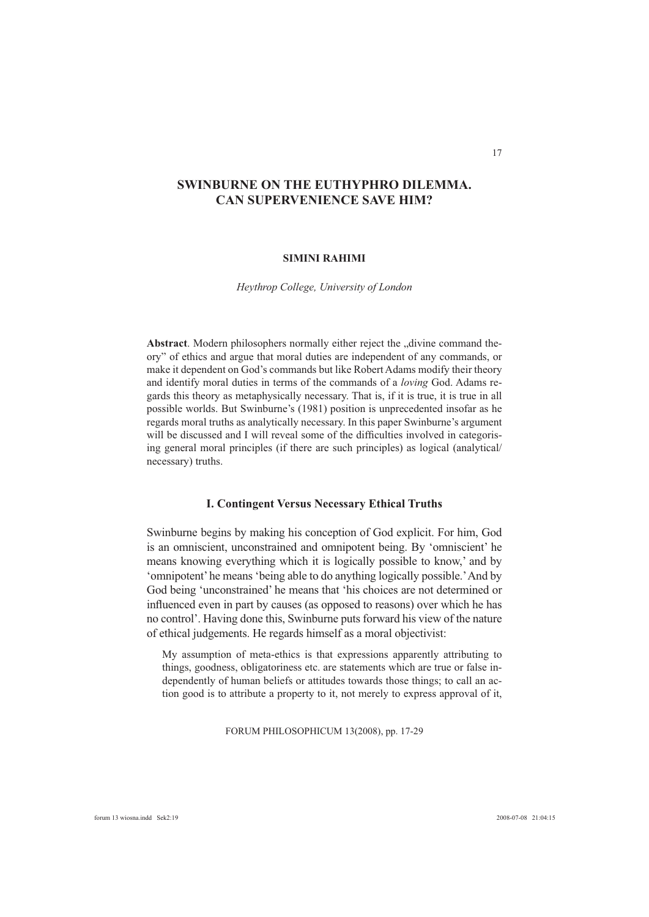# **SWINBURNE ON THE EUTHYPHRO DILEMMA. CAN SUPERVENIENCE SAVE HIM?**

### **SIMINI RAHIMI**

*Heythrop College, University of London*

Abstract. Modern philosophers normally either reject the "divine command theory" of ethics and argue that moral duties are independent of any commands, or make it dependent on God's commands but like Robert Adams modify their theory and identify moral duties in terms of the commands of a *loving* God. Adams regards this theory as metaphysically necessary. That is, if it is true, it is true in all possible worlds. But Swinburne's (1981) position is unprecedented insofar as he regards moral truths as analytically necessary. In this paper Swinburne's argument will be discussed and I will reveal some of the difficulties involved in categorising general moral principles (if there are such principles) as logical (analytical/ necessary) truths.

### **I. Contingent Versus Necessary Ethical Truths**

Swinburne begins by making his conception of God explicit. For him, God is an omniscient, unconstrained and omnipotent being. By 'omniscient' he means knowing everything which it is logically possible to know,' and by 'omnipotent' he means 'being able to do anything logically possible.' And by God being 'unconstrained' he means that 'his choices are not determined or influenced even in part by causes (as opposed to reasons) over which he has no control'. Having done this, Swinburne puts forward his view of the nature of ethical judgements. He regards himself as a moral objectivist:

My assumption of meta-ethics is that expressions apparently attributing to things, goodness, obligatoriness etc. are statements which are true or false independently of human beliefs or attitudes towards those things; to call an action good is to attribute a property to it, not merely to express approval of it,

FORUM PHILOSOPHICUM 13(2008), pp. 17-29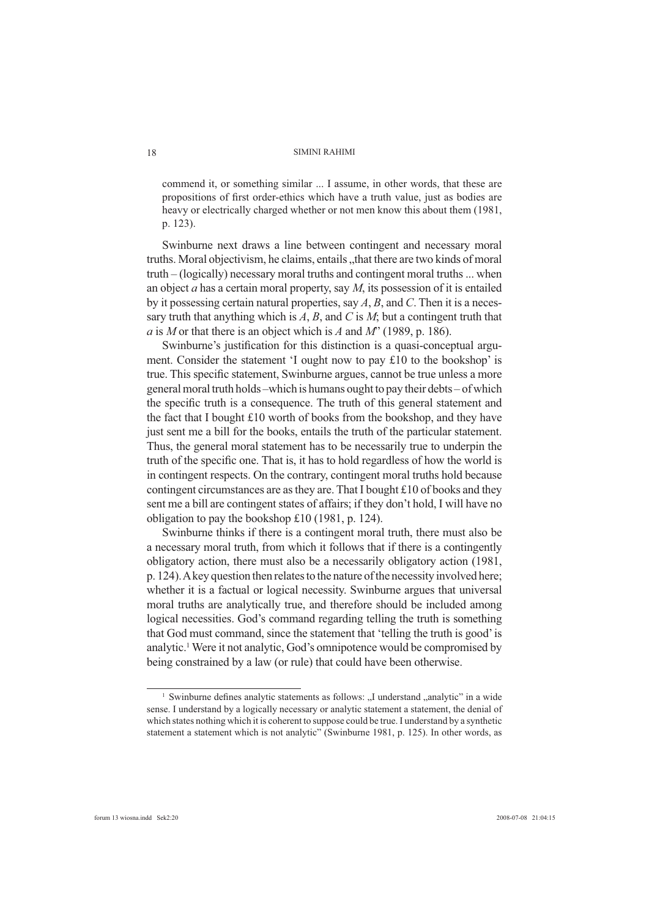commend it, or something similar ... I assume, in other words, that these are propositions of first order-ethics which have a truth value, just as bodies are heavy or electrically charged whether or not men know this about them (1981, p. 123).

Swinburne next draws a line between contingent and necessary moral truths. Moral objectivism, he claims, entails , that there are two kinds of moral truth – (logically) necessary moral truths and contingent moral truths ... when an object *a* has a certain moral property, say *M*, its possession of it is entailed by it possessing certain natural properties, say *A*, *B*, and *C*. Then it is a necessary truth that anything which is *A*, *B*, and *C* is *M*; but a contingent truth that *a* is *M* or that there is an object which is *A* and *M*" (1989, p. 186).

Swinburne's justification for this distinction is a quasi-conceptual argument. Consider the statement 'I ought now to pay £10 to the bookshop' is true. This specific statement, Swinburne argues, cannot be true unless a more general moral truth holds –which is humans ought to pay their debts – of which the specific truth is a consequence. The truth of this general statement and the fact that I bought £10 worth of books from the bookshop, and they have just sent me a bill for the books, entails the truth of the particular statement. Thus, the general moral statement has to be necessarily true to underpin the truth of the specific one. That is, it has to hold regardless of how the world is in contingent respects. On the contrary, contingent moral truths hold because contingent circumstances are as they are. That I bought £10 of books and they sent me a bill are contingent states of affairs; if they don't hold, I will have no obligation to pay the bookshop £10 (1981, p. 124).

Swinburne thinks if there is a contingent moral truth, there must also be a necessary moral truth, from which it follows that if there is a contingently obligatory action, there must also be a necessarily obligatory action (1981, p. 124). A key question then relates to the nature of the necessity involved here; whether it is a factual or logical necessity. Swinburne argues that universal moral truths are analytically true, and therefore should be included among logical necessities. God's command regarding telling the truth is something that God must command, since the statement that 'telling the truth is good' is analytic.<sup>1</sup> Were it not analytic, God's omnipotence would be compromised by being constrained by a law (or rule) that could have been otherwise.

<sup>&</sup>lt;sup>1</sup> Swinburne defines analytic statements as follows: "I understand "analytic" in a wide sense. I understand by a logically necessary or analytic statement a statement, the denial of which states nothing which it is coherent to suppose could be true. I understand by a synthetic statement a statement which is not analytic" (Swinburne 1981, p. 125). In other words, as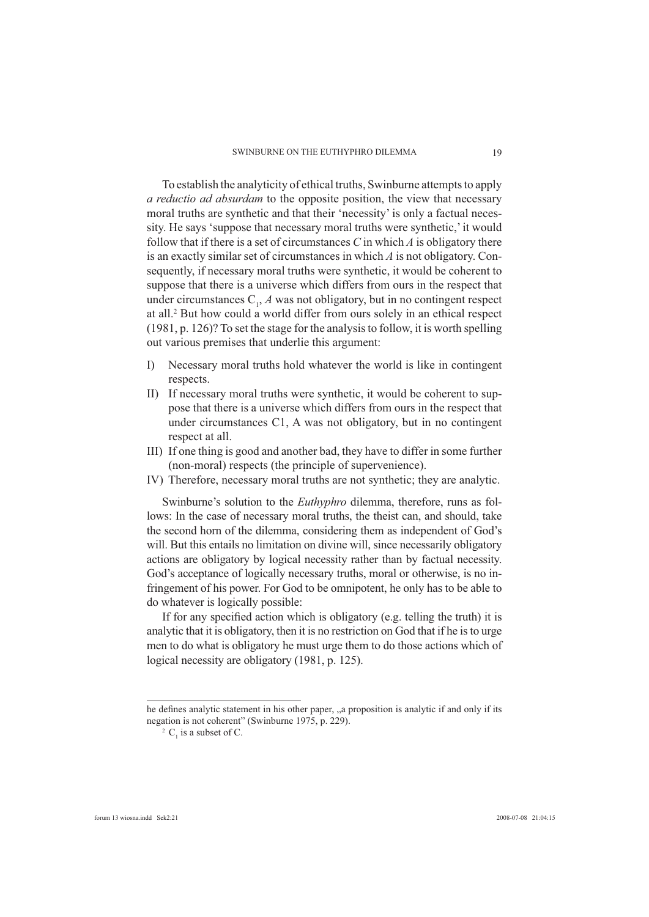To establish the analyticity of ethical truths, Swinburne attempts to apply *a reductio ad absurdam* to the opposite position, the view that necessary moral truths are synthetic and that their 'necessity' is only a factual necessity. He says 'suppose that necessary moral truths were synthetic,' it would follow that if there is a set of circumstances *C* in which *A* is obligatory there is an exactly similar set of circumstances in which *A* is not obligatory. Consequently, if necessary moral truths were synthetic, it would be coherent to suppose that there is a universe which differs from ours in the respect that under circumstances  $C_1$ ,  $A$  was not obligatory, but in no contingent respect at all.2 But how could a world differ from ours solely in an ethical respect (1981, p. 126)? To set the stage for the analysis to follow, it is worth spelling out various premises that underlie this argument:

- I) Necessary moral truths hold whatever the world is like in contingent respects.
- II) If necessary moral truths were synthetic, it would be coherent to suppose that there is a universe which differs from ours in the respect that under circumstances C1, A was not obligatory, but in no contingent respect at all.
- III) If one thing is good and another bad, they have to differ in some further (non-moral) respects (the principle of supervenience).
- IV) Therefore, necessary moral truths are not synthetic; they are analytic.

Swinburne's solution to the *Euthyphro* dilemma, therefore, runs as follows: In the case of necessary moral truths, the theist can, and should, take the second horn of the dilemma, considering them as independent of God's will. But this entails no limitation on divine will, since necessarily obligatory actions are obligatory by logical necessity rather than by factual necessity. God's acceptance of logically necessary truths, moral or otherwise, is no infringement of his power. For God to be omnipotent, he only has to be able to do whatever is logically possible:

If for any specified action which is obligatory (e.g. telling the truth) it is analytic that it is obligatory, then it is no restriction on God that if he is to urge men to do what is obligatory he must urge them to do those actions which of logical necessity are obligatory (1981, p. 125).

he defines analytic statement in his other paper, "a proposition is analytic if and only if its negation is not coherent" (Swinburne 1975, p. 229).

<sup>&</sup>lt;sup>2</sup>  $C<sub>1</sub>$  is a subset of C.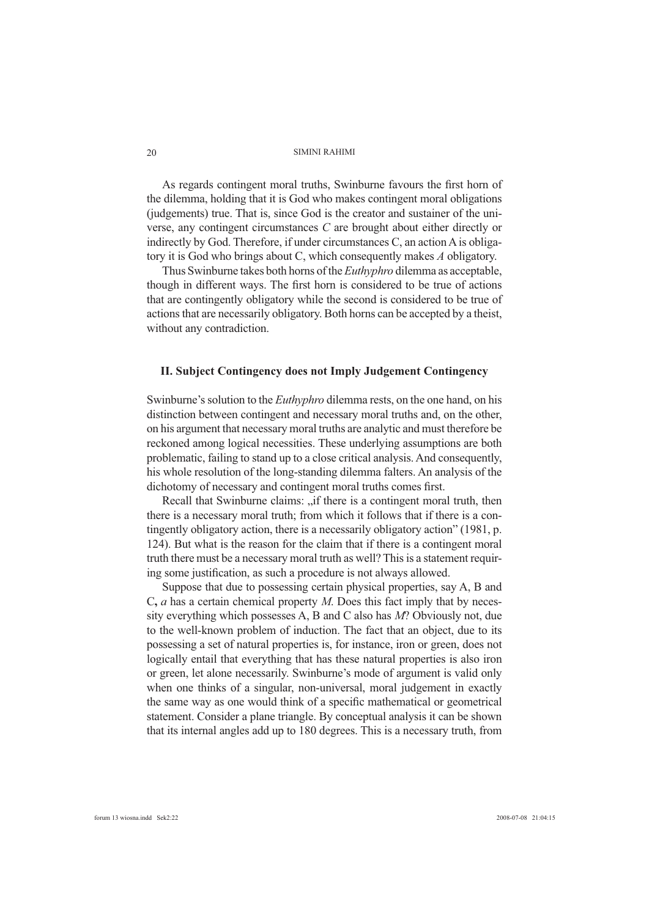As regards contingent moral truths, Swinburne favours the first horn of the dilemma, holding that it is God who makes contingent moral obligations (judgements) true. That is, since God is the creator and sustainer of the universe, any contingent circumstances *C* are brought about either directly or indirectly by God. Therefore, if under circumstances C, an action A is obligatory it is God who brings about C, which consequently makes *A* obligatory.

Thus Swinburne takes both horns of the *Euthyphro* dilemma as acceptable, though in different ways. The first horn is considered to be true of actions that are contingently obligatory while the second is considered to be true of actions that are necessarily obligatory. Both horns can be accepted by a theist, without any contradiction.

## **II. Subject Contingency does not Imply Judgement Contingency**

Swinburne's solution to the *Euthyphro* dilemma rests, on the one hand, on his distinction between contingent and necessary moral truths and, on the other, on his argument that necessary moral truths are analytic and must therefore be reckoned among logical necessities. These underlying assumptions are both problematic, failing to stand up to a close critical analysis. And consequently, his whole resolution of the long-standing dilemma falters. An analysis of the dichotomy of necessary and contingent moral truths comes first.

Recall that Swinburne claims: "if there is a contingent moral truth, then there is a necessary moral truth; from which it follows that if there is a contingently obligatory action, there is a necessarily obligatory action" (1981, p. 124). But what is the reason for the claim that if there is a contingent moral truth there must be a necessary moral truth as well? This is a statement requiring some justification, as such a procedure is not always allowed.

Suppose that due to possessing certain physical properties, say A, B and C**,** *a* has a certain chemical property *M*. Does this fact imply that by necessity everything which possesses A, B and C also has *M*? Obviously not, due to the well-known problem of induction. The fact that an object, due to its possessing a set of natural properties is, for instance, iron or green, does not logically entail that everything that has these natural properties is also iron or green, let alone necessarily. Swinburne's mode of argument is valid only when one thinks of a singular, non-universal, moral judgement in exactly the same way as one would think of a specific mathematical or geometrical statement. Consider a plane triangle. By conceptual analysis it can be shown that its internal angles add up to 180 degrees. This is a necessary truth, from

20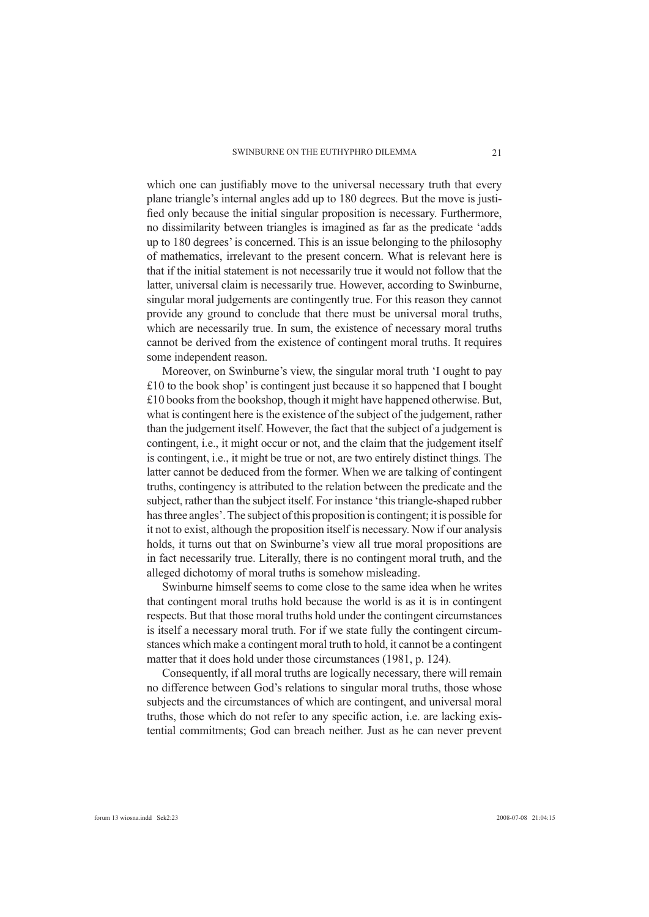which one can justifiably move to the universal necessary truth that every plane triangle's internal angles add up to 180 degrees. But the move is justified only because the initial singular proposition is necessary. Furthermore, no dissimilarity between triangles is imagined as far as the predicate 'adds up to 180 degrees' is concerned. This is an issue belonging to the philosophy of mathematics, irrelevant to the present concern. What is relevant here is that if the initial statement is not necessarily true it would not follow that the latter, universal claim is necessarily true. However, according to Swinburne, singular moral judgements are contingently true. For this reason they cannot provide any ground to conclude that there must be universal moral truths, which are necessarily true. In sum, the existence of necessary moral truths cannot be derived from the existence of contingent moral truths. It requires some independent reason.

Moreover, on Swinburne's view, the singular moral truth 'I ought to pay £10 to the book shop' is contingent just because it so happened that I bought £10 books from the bookshop, though it might have happened otherwise. But, what is contingent here is the existence of the subject of the judgement, rather than the judgement itself. However, the fact that the subject of a judgement is contingent, i.e., it might occur or not, and the claim that the judgement itself is contingent, i.e., it might be true or not, are two entirely distinct things. The latter cannot be deduced from the former. When we are talking of contingent truths, contingency is attributed to the relation between the predicate and the subject, rather than the subject itself. For instance 'this triangle-shaped rubber has three angles'. The subject of this proposition is contingent; it is possible for it not to exist, although the proposition itself is necessary. Now if our analysis holds, it turns out that on Swinburne's view all true moral propositions are in fact necessarily true. Literally, there is no contingent moral truth, and the alleged dichotomy of moral truths is somehow misleading.

Swinburne himself seems to come close to the same idea when he writes that contingent moral truths hold because the world is as it is in contingent respects. But that those moral truths hold under the contingent circumstances is itself a necessary moral truth. For if we state fully the contingent circumstances which make a contingent moral truth to hold, it cannot be a contingent matter that it does hold under those circumstances (1981, p. 124).

Consequently, if all moral truths are logically necessary, there will remain no difference between God's relations to singular moral truths, those whose subjects and the circumstances of which are contingent, and universal moral truths, those which do not refer to any specific action, i.e. are lacking existential commitments; God can breach neither. Just as he can never prevent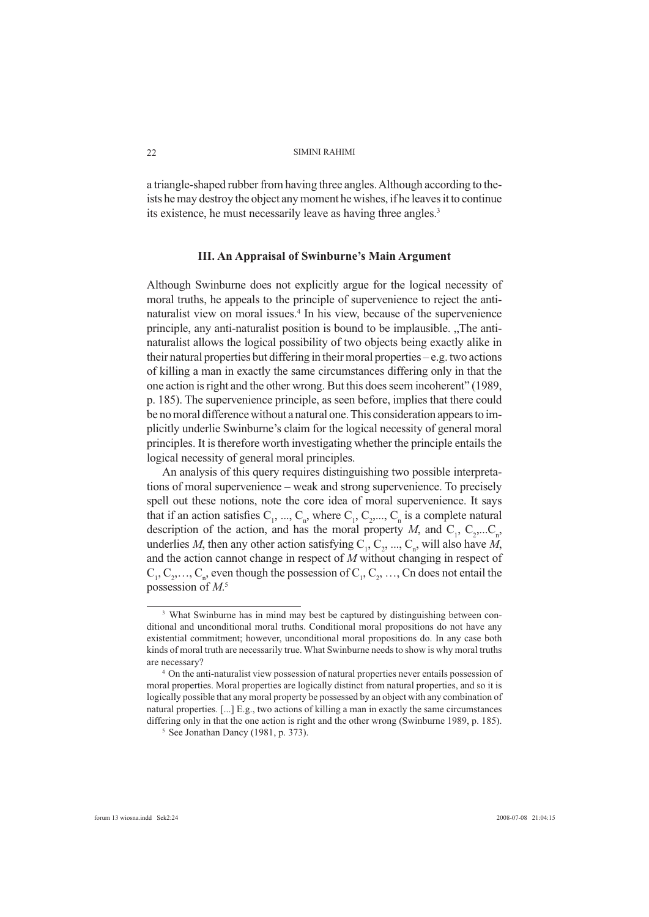a triangle-shaped rubber from having three angles. Although according to theists he may destroy the object any moment he wishes, if he leaves it to continue its existence, he must necessarily leave as having three angles.<sup>3</sup>

### **III. An Appraisal of Swinburne's Main Argument**

Although Swinburne does not explicitly argue for the logical necessity of moral truths, he appeals to the principle of supervenience to reject the antinaturalist view on moral issues.4 In his view, because of the supervenience principle, any anti-naturalist position is bound to be implausible. "The antinaturalist allows the logical possibility of two objects being exactly alike in their natural properties but differing in their moral properties – e.g. two actions of killing a man in exactly the same circumstances differing only in that the one action is right and the other wrong. But this does seem incoherent" (1989, p. 185). The supervenience principle, as seen before, implies that there could be no moral difference without a natural one. This consideration appears to implicitly underlie Swinburne's claim for the logical necessity of general moral principles. It is therefore worth investigating whether the principle entails the logical necessity of general moral principles.

An analysis of this query requires distinguishing two possible interpretations of moral supervenience – weak and strong supervenience. To precisely spell out these notions, note the core idea of moral supervenience. It says that if an action satisfies  $C_1$ , ...,  $C_n$ , where  $C_1$ ,  $C_2$ ,...,  $C_n$  is a complete natural description of the action, and has the moral property *M*, and  $C_1$ ,  $C_2$ ,..., $C_n$ , underlies *M*, then any other action satisfying  $C_1, C_2, ..., C_n$ , will also have *M*, and the action cannot change in respect of *M* without changing in respect of  $C_1, C_2, \ldots, C_n$ , even though the possession of  $C_1, C_2, \ldots, C_n$  does not entail the possession of *M*. 5

<sup>&</sup>lt;sup>3</sup> What Swinburne has in mind may best be captured by distinguishing between conditional and unconditional moral truths. Conditional moral propositions do not have any existential commitment; however, unconditional moral propositions do. In any case both kinds of moral truth are necessarily true. What Swinburne needs to show is why moral truths are necessary?

On the anti-naturalist view possession of natural properties never entails possession of moral properties. Moral properties are logically distinct from natural properties, and so it is logically possible that any moral property be possessed by an object with any combination of natural properties. [...] E.g., two actions of killing a man in exactly the same circumstances differing only in that the one action is right and the other wrong (Swinburne 1989, p. 185).

<sup>5</sup> See Jonathan Dancy (1981, p. 373).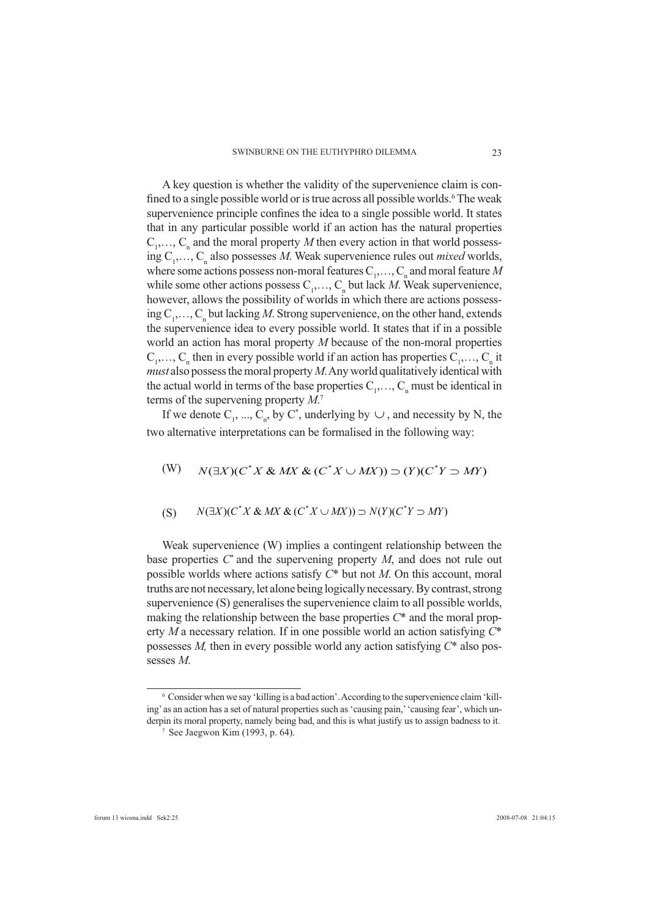A key question is whether the validity of the supervenience claim is confined to a single possible world or is true across all possible worlds.<sup>6</sup> The weak supervenience principle confines the idea to a single possible world. It states that in any particular possible world if an action has the natural properties  $C_1, \ldots, C_n$  and the moral property *M* then every action in that world possessing C<sub>1</sub>,..., C<sub>n</sub> also possesses *M*. Weak supervenience rules out *mixed* worlds, where some actions possess non-moral features  $C_1, \ldots, C_n$  and moral feature *M* while some other actions possess  $C_1, \ldots, C_n$  but lack *M*. Weak supervenience, however, allows the possibility of worlds in which there are actions possessing  $C_1, \ldots, C_n$  but lacking *M*. Strong supervenience, on the other hand, extends the supervenience idea to every possible world. It states that if in a possible world an action has moral property *M* because of the non-moral properties  $C_1, \ldots, C_n$  then in every possible world if an action has properties  $C_1, \ldots, C_n$  it *must* also possess the moral property *M*. Any world qualitatively identical with the actual world in terms of the base properties  $C_1, \ldots, C_n$  must be identical in terms of the supervening property *M*. 7

If we denote  $C_1$ , ...,  $C_n$ , by  $C^*$ , underlying by  $\cup$ , and necessity by N, the two alternative interpretations can be formalised in the following way:

$$
(W) \qquad N(\exists X)(C^*X \& MX \& (C^*X \cup MX)) \supset (Y)(C^*Y \supset MY)
$$

$$
(S) \qquad N(\exists X)(C^*X \& MX \& (C^*X \cup MX)) \supset N(Y)(C^*Y \supset MY)
$$

Weak supervenience (W) implies a contingent relationship between the base properties  $C^*$  and the supervening property  $M$ , and does not rule out possible worlds where actions satisfy *C*\* but not *M*. On this account, moral truths are not necessary, let alone being logically necessary. By contrast, strong supervenience (S) generalises the supervenience claim to all possible worlds, making the relationship between the base properties *C*\* and the moral property *M* a necessary relation. If in one possible world an action satisfying *C*\* possesses *M,* then in every possible world any action satisfying *C*\* also possesses *M*.

<sup>&</sup>lt;sup>6</sup> Consider when we say 'killing is a bad action'. According to the supervenience claim 'killing' as an action has a set of natural properties such as 'causing pain,' 'causing fear', which underpin its moral property, namely being bad, and this is what justify us to assign badness to it. 7 See Jaegwon Kim (1993, p. 64).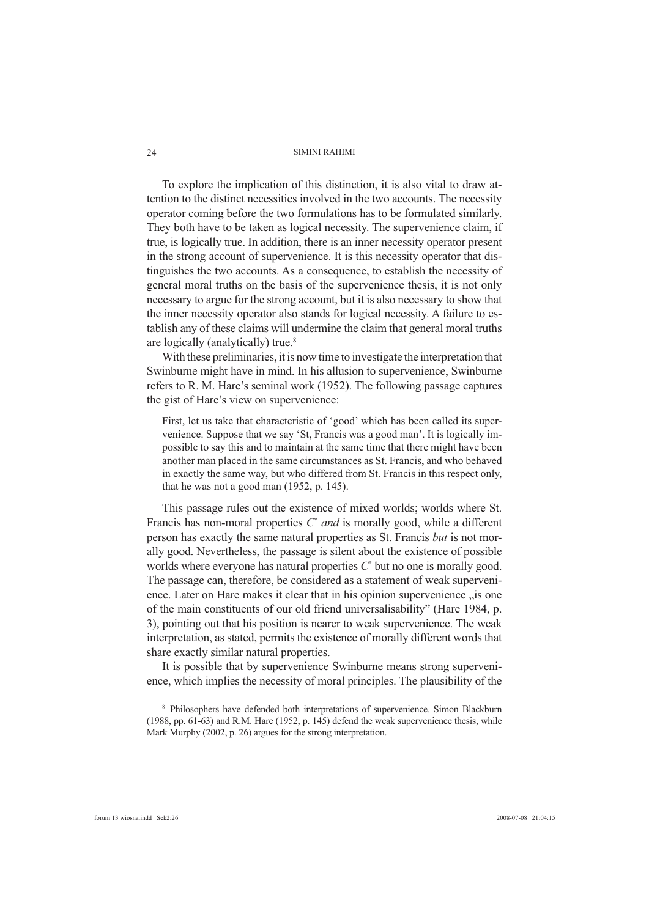To explore the implication of this distinction, it is also vital to draw attention to the distinct necessities involved in the two accounts. The necessity operator coming before the two formulations has to be formulated similarly. They both have to be taken as logical necessity. The supervenience claim, if true, is logically true. In addition, there is an inner necessity operator present in the strong account of supervenience. It is this necessity operator that distinguishes the two accounts. As a consequence, to establish the necessity of general moral truths on the basis of the supervenience thesis, it is not only necessary to argue for the strong account, but it is also necessary to show that the inner necessity operator also stands for logical necessity. A failure to establish any of these claims will undermine the claim that general moral truths are logically (analytically) true.<sup>8</sup>

With these preliminaries, it is now time to investigate the interpretation that Swinburne might have in mind. In his allusion to supervenience, Swinburne refers to R. M. Hare's seminal work (1952). The following passage captures the gist of Hare's view on supervenience:

First, let us take that characteristic of 'good' which has been called its supervenience. Suppose that we say 'St, Francis was a good man'. It is logically impossible to say this and to maintain at the same time that there might have been another man placed in the same circumstances as St. Francis, and who behaved in exactly the same way, but who differed from St. Francis in this respect only, that he was not a good man (1952, p. 145).

This passage rules out the existence of mixed worlds; worlds where St. Francis has non-moral properties *C*\* *and* is morally good, while a different person has exactly the same natural properties as St. Francis *but* is not morally good. Nevertheless, the passage is silent about the existence of possible worlds where everyone has natural properties *C*\* but no one is morally good. The passage can, therefore, be considered as a statement of weak supervenience. Later on Hare makes it clear that in his opinion supervenience  $\alpha$  is one of the main constituents of our old friend universalisability" (Hare 1984, p. 3), pointing out that his position is nearer to weak supervenience. The weak interpretation, as stated, permits the existence of morally different words that share exactly similar natural properties.

It is possible that by supervenience Swinburne means strong supervenience, which implies the necessity of moral principles. The plausibility of the

24

<sup>&</sup>lt;sup>8</sup> Philosophers have defended both interpretations of supervenience. Simon Blackburn (1988, pp. 61-63) and R.M. Hare (1952, p. 145) defend the weak supervenience thesis, while Mark Murphy (2002, p. 26) argues for the strong interpretation.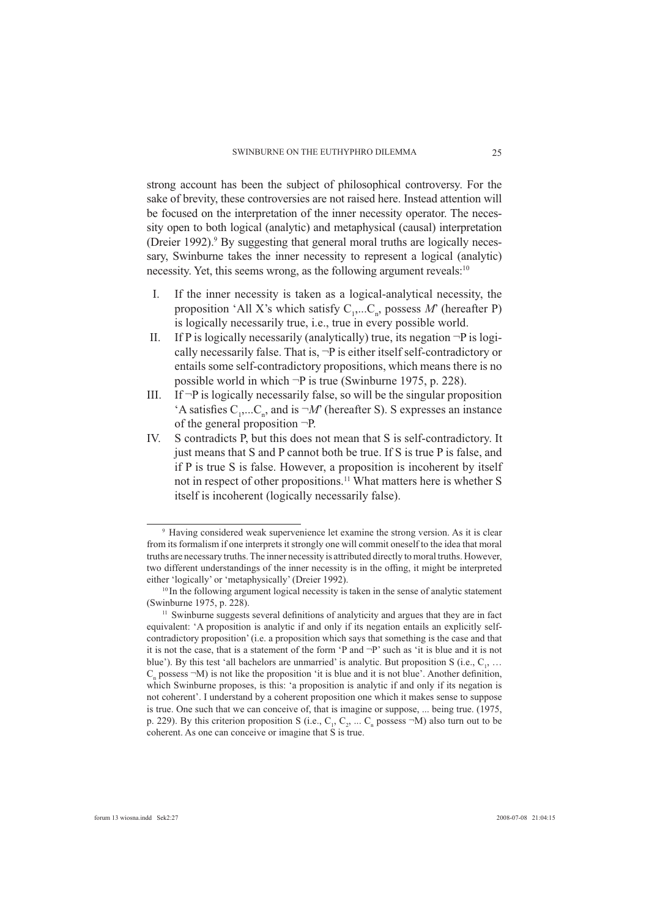strong account has been the subject of philosophical controversy. For the sake of brevity, these controversies are not raised here. Instead attention will be focused on the interpretation of the inner necessity operator. The necessity open to both logical (analytic) and metaphysical (causal) interpretation (Dreier 1992).<sup>9</sup> By suggesting that general moral truths are logically necessary, Swinburne takes the inner necessity to represent a logical (analytic) necessity. Yet, this seems wrong, as the following argument reveals:<sup>10</sup>

- I. If the inner necessity is taken as a logical-analytical necessity, the proposition 'All X's which satisfy  $C_1$ ,...C<sub>n</sub>, possess M' (hereafter P) is logically necessarily true, i.e., true in every possible world.
- II. If P is logically necessarily (analytically) true, its negation  $\neg P$  is logically necessarily false. That is, ¬P is either itself self-contradictory or entails some self-contradictory propositions, which means there is no possible world in which ¬P is true (Swinburne 1975, p. 228).
- III. If  $\neg P$  is logically necessarily false, so will be the singular proposition 'A satisfies  $C_1$ ,...C<sub>n</sub>, and is  $\neg M$ ' (hereafter S). S expresses an instance of the general proposition ¬P.
- IV. S contradicts P, but this does not mean that S is self-contradictory. It just means that S and P cannot both be true. If S is true P is false, and if P is true S is false. However, a proposition is incoherent by itself not in respect of other propositions.11 What matters here is whether S itself is incoherent (logically necessarily false).

<sup>9</sup> Having considered weak supervenience let examine the strong version. As it is clear from its formalism if one interprets it strongly one will commit oneself to the idea that moral truths are necessary truths. The inner necessity is attributed directly to moral truths. However, two different understandings of the inner necessity is in the offing, it might be interpreted either 'logically' or 'metaphysically' (Dreier 1992).

<sup>&</sup>lt;sup>10</sup> In the following argument logical necessity is taken in the sense of analytic statement (Swinburne 1975, p. 228).  $11$  Swinburne suggests several definitions of analyticity and argues that they are in fact

equivalent: 'A proposition is analytic if and only if its negation entails an explicitly selfcontradictory proposition' (i.e. a proposition which says that something is the case and that it is not the case, that is a statement of the form 'P and ¬P' such as 'it is blue and it is not blue'). By this test 'all bachelors are unmarried' is analytic. But proposition S (i.e.,  $C_1$ , ...  $C_n$  possess  $\neg M$ ) is not like the proposition 'it is blue and it is not blue'. Another definition, which Swinburne proposes, is this: 'a proposition is analytic if and only if its negation is not coherent'. I understand by a coherent proposition one which it makes sense to suppose is true. One such that we can conceive of, that is imagine or suppose, ... being true. (1975, p. 229). By this criterion proposition S (i.e.,  $C_1$ ,  $C_2$ , ...  $C_n$  possess  $-M$ ) also turn out to be coherent. As one can conceive or imagine that S is true.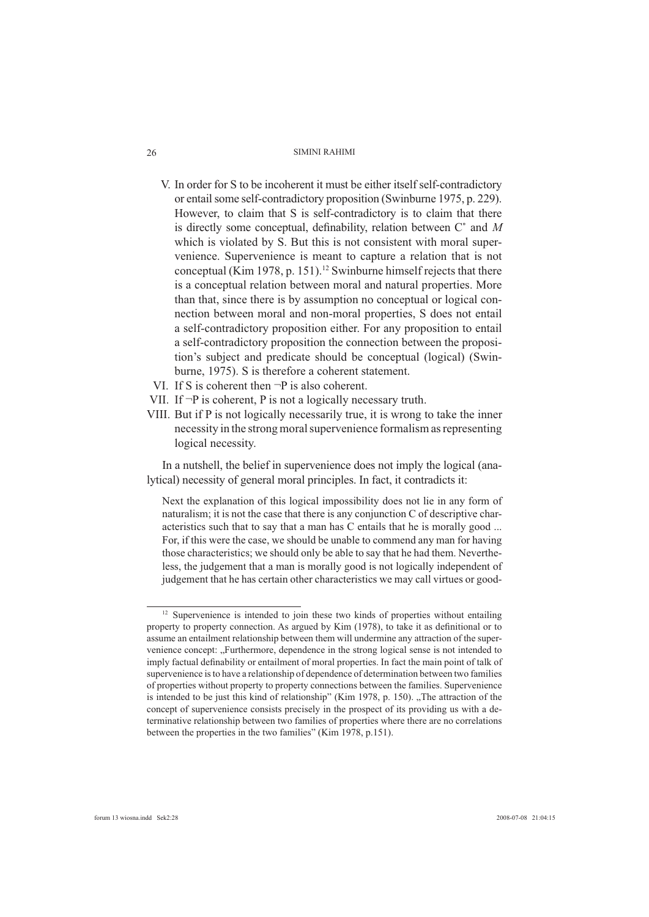- V. In order for S to be incoherent it must be either itself self-contradictory or entail some self-contradictory proposition (Swinburne 1975, p. 229). However, to claim that S is self-contradictory is to claim that there is directly some conceptual, definability, relation between C<sup>\*</sup> and M which is violated by S. But this is not consistent with moral supervenience. Supervenience is meant to capture a relation that is not conceptual (Kim 1978, p. 151).<sup>12</sup> Swinburne himself rejects that there is a conceptual relation between moral and natural properties. More than that, since there is by assumption no conceptual or logical connection between moral and non-moral properties, S does not entail a self-contradictory proposition either. For any proposition to entail a self-contradictory proposition the connection between the proposition's subject and predicate should be conceptual (logical) (Swinburne, 1975). S is therefore a coherent statement.
- VI. If S is coherent then ¬P is also coherent.
- VII. If  $\neg P$  is coherent, P is not a logically necessary truth.
- VIII. But if P is not logically necessarily true, it is wrong to take the inner necessity in the strong moral supervenience formalism as representing logical necessity.

In a nutshell, the belief in supervenience does not imply the logical (analytical) necessity of general moral principles. In fact, it contradicts it:

Next the explanation of this logical impossibility does not lie in any form of naturalism; it is not the case that there is any conjunction C of descriptive characteristics such that to say that a man has C entails that he is morally good ... For, if this were the case, we should be unable to commend any man for having those characteristics; we should only be able to say that he had them. Nevertheless, the judgement that a man is morally good is not logically independent of judgement that he has certain other characteristics we may call virtues or good-

26

 $12$  Supervenience is intended to join these two kinds of properties without entailing property to property connection. As argued by Kim (1978), to take it as definitional or to assume an entailment relationship between them will undermine any attraction of the supervenience concept: "Furthermore, dependence in the strong logical sense is not intended to imply factual definability or entailment of moral properties. In fact the main point of talk of supervenience is to have a relationship of dependence of determination between two families of properties without property to property connections between the families. Supervenience is intended to be just this kind of relationship" (Kim 1978, p. 150). "The attraction of the concept of supervenience consists precisely in the prospect of its providing us with a determinative relationship between two families of properties where there are no correlations between the properties in the two families" (Kim 1978, p.151).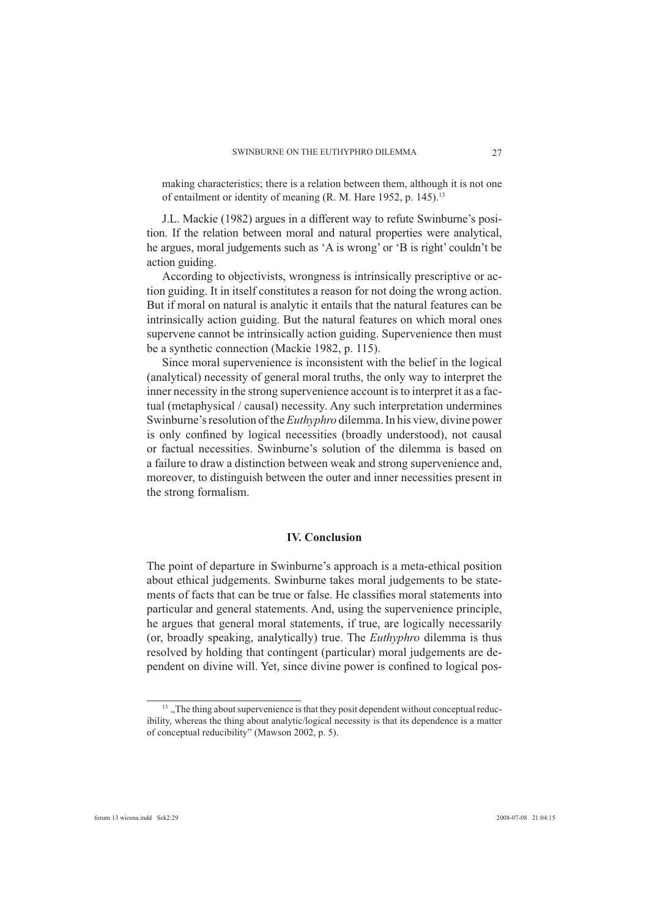making characteristics; there is a relation between them, although it is not one of entailment or identity of meaning (R. M. Hare 1952, p. 145).13

J.L. Mackie (1982) argues in a different way to refute Swinburne's position. If the relation between moral and natural properties were analytical, he argues, moral judgements such as 'A is wrong' or 'B is right' couldn't be action guiding.

According to objectivists, wrongness is intrinsically prescriptive or action guiding. It in itself constitutes a reason for not doing the wrong action. But if moral on natural is analytic it entails that the natural features can be intrinsically action guiding. But the natural features on which moral ones supervene cannot be intrinsically action guiding. Supervenience then must be a synthetic connection (Mackie 1982, p. 115).

Since moral supervenience is inconsistent with the belief in the logical (analytical) necessity of general moral truths, the only way to interpret the inner necessity in the strong supervenience account is to interpret it as a factual (metaphysical / causal) necessity. Any such interpretation undermines Swinburne's resolution of the *Euthyphro* dilemma. In his view, divine power is only confined by logical necessities (broadly understood), not causal or factual necessities. Swinburne's solution of the dilemma is based on a failure to draw a distinction between weak and strong supervenience and, moreover, to distinguish between the outer and inner necessities present in the strong formalism.

### **IV. Conclusion**

The point of departure in Swinburne's approach is a meta-ethical position about ethical judgements. Swinburne takes moral judgements to be statements of facts that can be true or false. He classifies moral statements into particular and general statements. And, using the supervenience principle, he argues that general moral statements, if true, are logically necessarily (or, broadly speaking, analytically) true. The *Euthyphro* dilemma is thus resolved by holding that contingent (particular) moral judgements are dependent on divine will. Yet, since divine power is confined to logical pos-

 $13$ , The thing about supervenience is that they posit dependent without conceptual reducibility, whereas the thing about analytic/logical necessity is that its dependence is a matter of conceptual reducibility" (Mawson 2002, p. 5).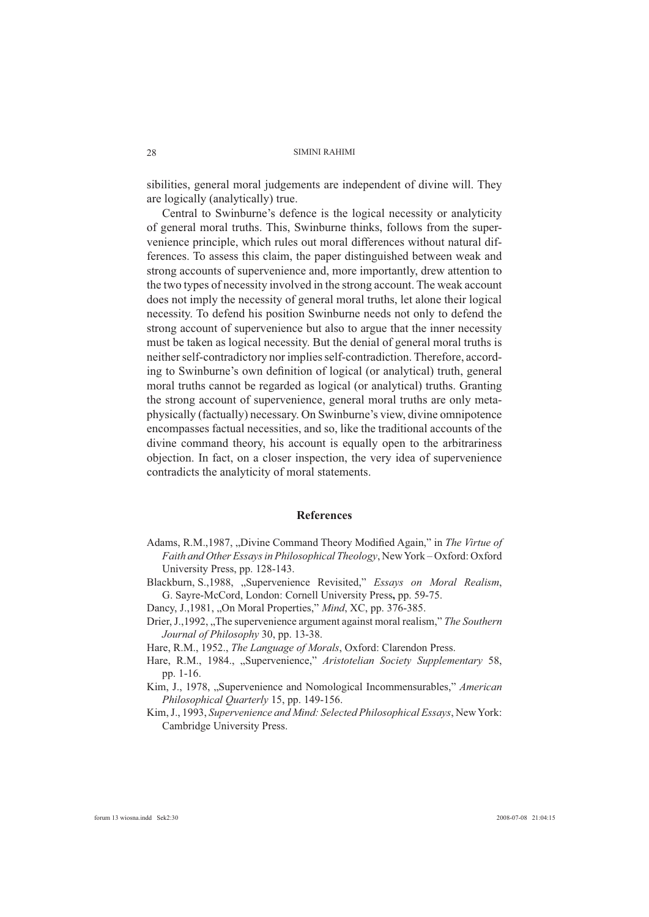sibilities, general moral judgements are independent of divine will. They are logically (analytically) true.

Central to Swinburne's defence is the logical necessity or analyticity of general moral truths. This, Swinburne thinks, follows from the supervenience principle, which rules out moral differences without natural differences. To assess this claim, the paper distinguished between weak and strong accounts of supervenience and, more importantly, drew attention to the two types of necessity involved in the strong account. The weak account does not imply the necessity of general moral truths, let alone their logical necessity. To defend his position Swinburne needs not only to defend the strong account of supervenience but also to argue that the inner necessity must be taken as logical necessity. But the denial of general moral truths is neither self-contradictory nor implies self-contradiction. Therefore, according to Swinburne's own definition of logical (or analytical) truth, general moral truths cannot be regarded as logical (or analytical) truths. Granting the strong account of supervenience, general moral truths are only metaphysically (factually) necessary. On Swinburne's view, divine omnipotence encompasses factual necessities, and so, like the traditional accounts of the divine command theory, his account is equally open to the arbitrariness objection. In fact, on a closer inspection, the very idea of supervenience contradicts the analyticity of moral statements.

### **References**

- Adams, R.M., 1987, "Divine Command Theory Modified Again," in *The Virtue of Faith and Other Essays in Philosophical Theology*, New York – Oxford: Oxford University Press, pp. 128-143.
- Blackburn, S.,1988, "Supervenience Revisited," *Essays on Moral Realism*, G. Sayre-McCord, London: Cornell University Press**,** pp. 59-75.

Dancy, J.,1981, "On Moral Properties," *Mind*, XC, pp. 376-385.

- Drier, J.,1992, "The supervenience argument against moral realism," *The Southern Journal of Philosophy* 30, pp. 13-38.
- Hare, R.M., 1952., *The Language of Morals*, Oxford: Clarendon Press.
- Hare, R.M., 1984., "Supervenience," Aristotelian Society Supplementary 58, pp. 1-16.
- Kim, J., 1978, ...Supervenience and Nomological Incommensurables," *American Philosophical Quarterly* 15, pp. 149-156.
- Kim, J., 1993, *Supervenience and Mind: Selected Philosophical Essays*, New York: Cambridge University Press.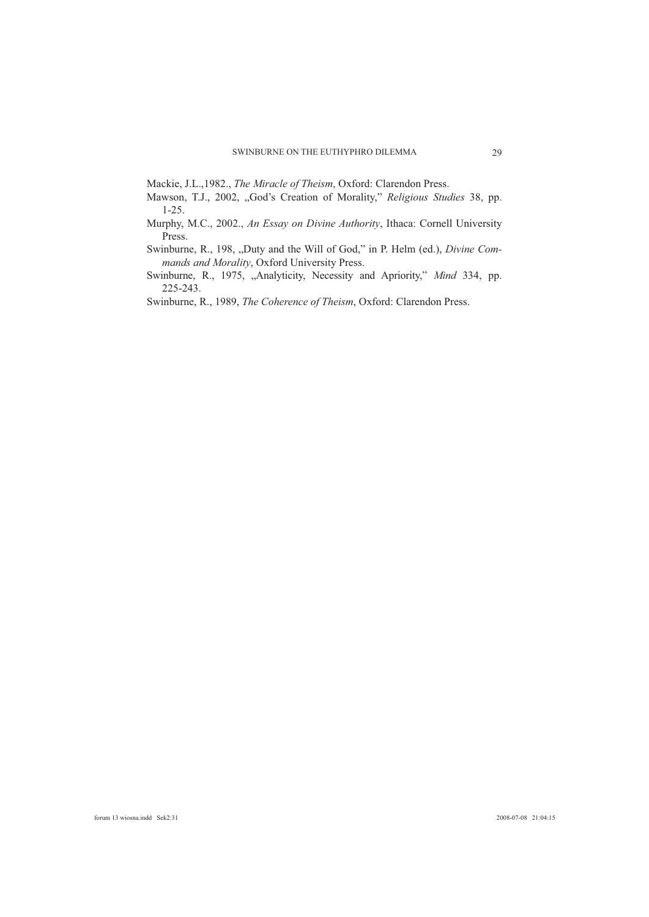Mackie, J.L.,1982., *The Miracle of Theism*, Oxford: Clarendon Press.

- Mawson, T.J., 2002, "God's Creation of Morality," *Religious Studies* 38, pp. 1-25.
- Murphy, M.C., 2002., *An Essay on Divine Authority*, Ithaca: Cornell University Press.
- Swinburne, R., 198, "Duty and the Will of God," in P. Helm (ed.), *Divine Commands and Morality*, Oxford University Press.
- Swinburne, R., 1975, "Analyticity, Necessity and Apriority," Mind 334, pp. 225-243.

Swinburne, R., 1989, *The Coherence of Theism*, Oxford: Clarendon Press.